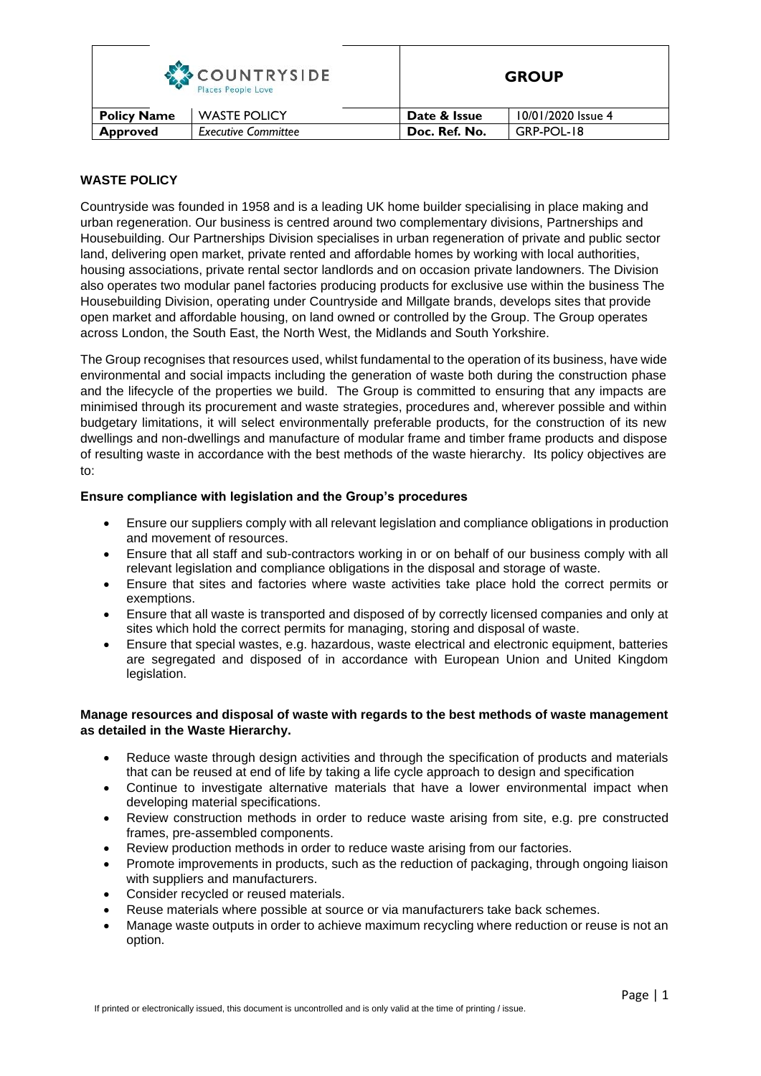| <b>COUNTRYSIDE</b><br>Places People Love |                            |               | <b>GROUP</b>       |  |
|------------------------------------------|----------------------------|---------------|--------------------|--|
| <b>Policy Name</b>                       | <b>WASTE POLICY</b>        | Date & Issue  | 10/01/2020 Issue 4 |  |
| <b>Approved</b>                          | <b>Executive Committee</b> | Doc. Ref. No. | GRP-POL-18         |  |

## **WASTE POLICY**

Countryside was founded in 1958 and is a leading UK home builder specialising in place making and urban regeneration. Our business is centred around two complementary divisions, Partnerships and Housebuilding. Our Partnerships Division specialises in urban regeneration of private and public sector land, delivering open market, private rented and affordable homes by working with local authorities, housing associations, private rental sector landlords and on occasion private landowners. The Division also operates two modular panel factories producing products for exclusive use within the business The Housebuilding Division, operating under Countryside and Millgate brands, develops sites that provide open market and affordable housing, on land owned or controlled by the Group. The Group operates across London, the South East, the North West, the Midlands and South Yorkshire.

The Group recognises that resources used, whilst fundamental to the operation of its business, have wide environmental and social impacts including the generation of waste both during the construction phase and the lifecycle of the properties we build. The Group is committed to ensuring that any impacts are minimised through its procurement and waste strategies, procedures and, wherever possible and within budgetary limitations, it will select environmentally preferable products, for the construction of its new dwellings and non-dwellings and manufacture of modular frame and timber frame products and dispose of resulting waste in accordance with the best methods of the waste hierarchy. Its policy objectives are to:

## **Ensure compliance with legislation and the Group's procedures**

- Ensure our suppliers comply with all relevant legislation and compliance obligations in production and movement of resources.
- Ensure that all staff and sub-contractors working in or on behalf of our business comply with all relevant legislation and compliance obligations in the disposal and storage of waste.
- Ensure that sites and factories where waste activities take place hold the correct permits or exemptions.
- Ensure that all waste is transported and disposed of by correctly licensed companies and only at sites which hold the correct permits for managing, storing and disposal of waste.
- Ensure that special wastes, e.g. hazardous, waste electrical and electronic equipment, batteries are segregated and disposed of in accordance with European Union and United Kingdom legislation.

#### **Manage resources and disposal of waste with regards to the best methods of waste management as detailed in the Waste Hierarchy.**

- Reduce waste through design activities and through the specification of products and materials that can be reused at end of life by taking a life cycle approach to design and specification
- Continue to investigate alternative materials that have a lower environmental impact when developing material specifications.
- Review construction methods in order to reduce waste arising from site, e.g. pre constructed frames, pre-assembled components.
- Review production methods in order to reduce waste arising from our factories.
- Promote improvements in products, such as the reduction of packaging, through ongoing liaison with suppliers and manufacturers.
- Consider recycled or reused materials.
- Reuse materials where possible at source or via manufacturers take back schemes.
- Manage waste outputs in order to achieve maximum recycling where reduction or reuse is not an option.